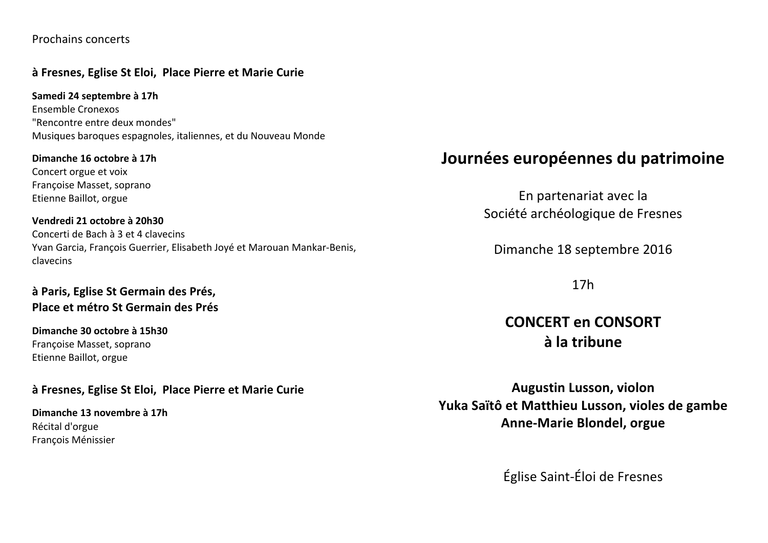### Prochains concerts

## à Fresnes, Eglise St Eloi, Place Pierre et Marie Curie

Samedi 24 septembre à 17h Ensemble Cronexos "Rencontre entre deux mondes" Musiques baroques espagnoles, italiennes, et du Nouveau Monde

Dimanche 16 octobre à 17h Concert orgue et voix Françoise Masset, soprano Etienne Baillot, orgue

Vendredi 21 octobre à 20h30 Concerti de Bach à 3 et 4 clavecins Yvan Garcia, François Guerrier, Elisabeth Joyé et Marouan Mankar-Benis, clavecins

## à Paris, Eglise St Germain des Prés, Place et métro St Germain des Prés

Dimanche 30 octobre à 15h30 Françoise Masset, soprano Etienne Baillot, orgue

### à Fresnes, Eglise St Eloi, Place Pierre et Marie Curie

Dimanche 13 novembre à 17h Récital d'orgue François Ménissier

# Journées européennes du patrimoine

En partenariat avec la Société archéologique de Fresnes

Dimanche 18 septembre 2016

 $17h$ 

CONCERT en CONSORT à la tribune

**Augustin Lusson, violon** Yuka Saïtô et Matthieu Lusson, violes de gambe **Anne-Marie Blondel, orgue** 

Église Saint-Éloi de Fresnes